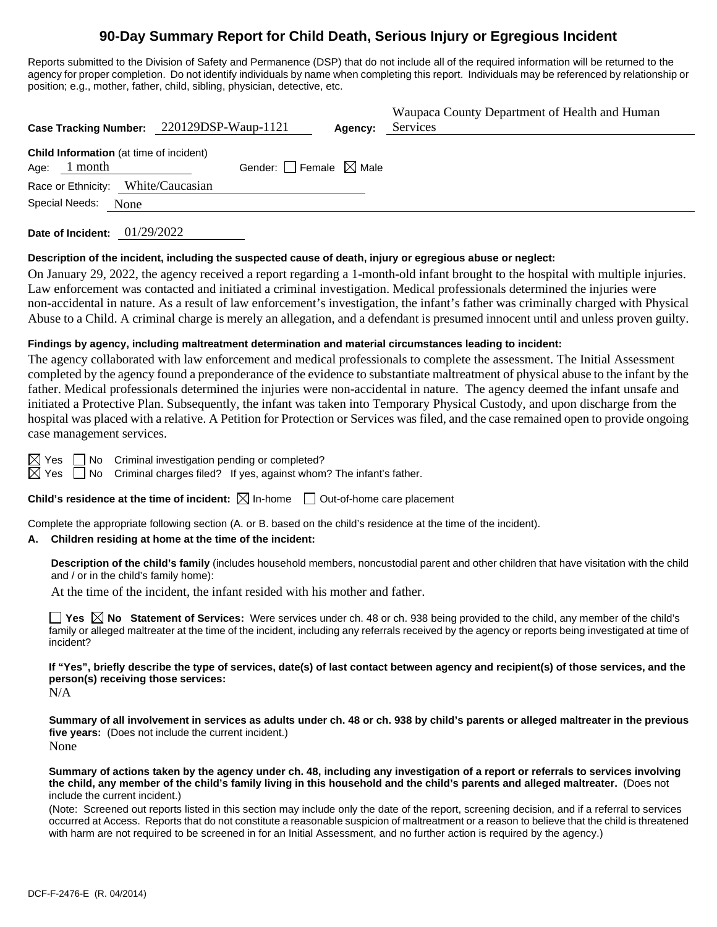# **90-Day Summary Report for Child Death, Serious Injury or Egregious Incident**

Reports submitted to the Division of Safety and Permanence (DSP) that do not include all of the required information will be returned to the agency for proper completion. Do not identify individuals by name when completing this report. Individuals may be referenced by relationship or position; e.g., mother, father, child, sibling, physician, detective, etc.

|                                                                   | Case Tracking Number: 220129DSP-Waup-1121 | Agency: | Waupaca County Department of Health and Human<br>Services |
|-------------------------------------------------------------------|-------------------------------------------|---------|-----------------------------------------------------------|
| <b>Child Information</b> (at time of incident)<br>1 month<br>Age: | Gender: Female $\boxtimes$ Male           |         |                                                           |
| Race or Ethnicity: White/Caucasian                                |                                           |         |                                                           |
| Special Needs:<br>None                                            |                                           |         |                                                           |
|                                                                   |                                           |         |                                                           |

**Date of Incident:** 01/29/2022

#### **Description of the incident, including the suspected cause of death, injury or egregious abuse or neglect:**

On January 29, 2022, the agency received a report regarding a 1-month-old infant brought to the hospital with multiple injuries. Law enforcement was contacted and initiated a criminal investigation. Medical professionals determined the injuries were non-accidental in nature. As a result of law enforcement's investigation, the infant's father was criminally charged with Physical Abuse to a Child. A criminal charge is merely an allegation, and a defendant is presumed innocent until and unless proven guilty.

#### **Findings by agency, including maltreatment determination and material circumstances leading to incident:**

The agency collaborated with law enforcement and medical professionals to complete the assessment. The Initial Assessment completed by the agency found a preponderance of the evidence to substantiate maltreatment of physical abuse to the infant by the father. Medical professionals determined the injuries were non-accidental in nature. The agency deemed the infant unsafe and initiated a Protective Plan. Subsequently, the infant was taken into Temporary Physical Custody, and upon discharge from the hospital was placed with a relative. A Petition for Protection or Services was filed, and the case remained open to provide ongoing case management services.

 $\boxtimes$  Yes  $\Box$  No Criminal investigation pending or completed?

 $\boxtimes$  Yes  $\Box$  No Criminal charges filed? If yes, against whom? The infant's father.

#### **Child's residence at the time of incident:**  $\boxtimes$  In-home  $\Box$  Out-of-home care placement

Complete the appropriate following section (A. or B. based on the child's residence at the time of the incident).

#### **A. Children residing at home at the time of the incident:**

**Description of the child's family** (includes household members, noncustodial parent and other children that have visitation with the child and / or in the child's family home):

At the time of the incident, the infant resided with his mother and father.

**Yes No Statement of Services:** Were services under ch. 48 or ch. 938 being provided to the child, any member of the child's family or alleged maltreater at the time of the incident, including any referrals received by the agency or reports being investigated at time of incident?

**If "Yes", briefly describe the type of services, date(s) of last contact between agency and recipient(s) of those services, and the person(s) receiving those services:**  $N/A$ 

**Summary of all involvement in services as adults under ch. 48 or ch. 938 by child's parents or alleged maltreater in the previous five years:** (Does not include the current incident.) None

**Summary of actions taken by the agency under ch. 48, including any investigation of a report or referrals to services involving the child, any member of the child's family living in this household and the child's parents and alleged maltreater.** (Does not include the current incident.)

(Note: Screened out reports listed in this section may include only the date of the report, screening decision, and if a referral to services occurred at Access. Reports that do not constitute a reasonable suspicion of maltreatment or a reason to believe that the child is threatened with harm are not required to be screened in for an Initial Assessment, and no further action is required by the agency.)